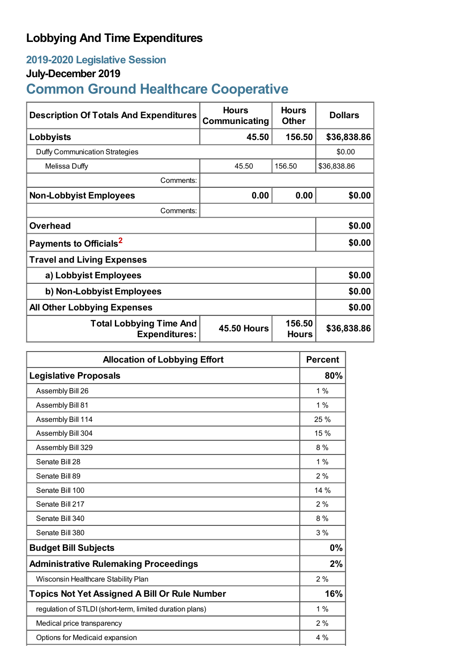## **Lobbying And Time Expenditures**

## **2019-2020 Legislative Session**

## **July-December 2019**

# **Common Ground Healthcare Cooperative**

| <b>Description Of Totals And Expenditures</b>          | <b>Hours</b><br>Communicating | <b>Hours</b><br><b>Other</b> | <b>Dollars</b> |
|--------------------------------------------------------|-------------------------------|------------------------------|----------------|
| Lobbyists                                              | 45.50                         | 156.50                       | \$36,838.86    |
| Duffy Communication Strategies                         |                               |                              | \$0.00         |
| Melissa Duffy                                          | 45.50                         | 156.50                       | \$36,838.86    |
| Comments:                                              |                               |                              |                |
| <b>Non-Lobbyist Employees</b>                          | 0.00                          | 0.00                         | \$0.00         |
| Comments:                                              |                               |                              |                |
| <b>Overhead</b>                                        |                               |                              | \$0.00         |
| Payments to Officials <sup>2</sup>                     |                               |                              | \$0.00         |
| <b>Travel and Living Expenses</b>                      |                               |                              |                |
| a) Lobbyist Employees                                  |                               |                              | \$0.00         |
| b) Non-Lobbyist Employees                              |                               |                              | \$0.00         |
| <b>All Other Lobbying Expenses</b>                     |                               |                              | \$0.00         |
| <b>Total Lobbying Time And</b><br><b>Expenditures:</b> | <b>45.50 Hours</b>            | 156.50<br><b>Hours</b>       | \$36,838.86    |

| <b>Allocation of Lobbying Effort</b>                     |       |
|----------------------------------------------------------|-------|
| <b>Legislative Proposals</b>                             | 80%   |
| Assembly Bill 26                                         | $1\%$ |
| Assembly Bill 81                                         | $1\%$ |
| Assembly Bill 114                                        | 25 %  |
| Assembly Bill 304                                        | 15 %  |
| Assembly Bill 329                                        | $8\%$ |
| Senate Bill 28                                           | $1\%$ |
| Senate Bill 89                                           | 2%    |
| Senate Bill 100                                          | 14 %  |
| Senate Bill 217                                          | 2%    |
| Senate Bill 340                                          | $8\%$ |
| Senate Bill 380                                          | 3%    |
| <b>Budget Bill Subjects</b>                              | 0%    |
| <b>Administrative Rulemaking Proceedings</b>             | 2%    |
| Wisconsin Healthcare Stability Plan                      | 2%    |
| <b>Topics Not Yet Assigned A Bill Or Rule Number</b>     | 16%   |
| regulation of STLDI (short-term, limited duration plans) | 1%    |
| Medical price transparency                               | 2%    |
| Options for Medicaid expansion                           | $4\%$ |